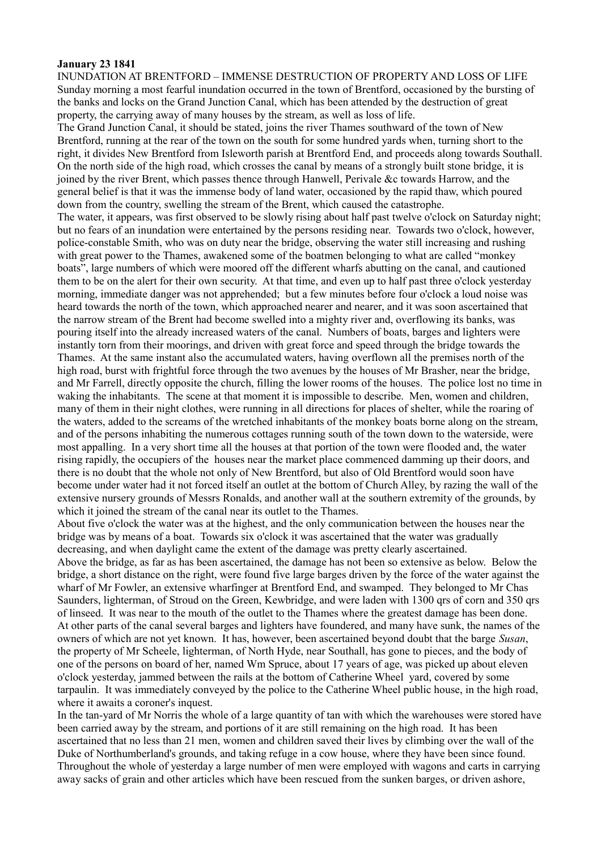## **January 23 1841**

INUNDATION AT BRENTFORD – IMMENSE DESTRUCTION OF PROPERTY AND LOSS OF LIFE Sunday morning a most fearful inundation occurred in the town of Brentford, occasioned by the bursting of the banks and locks on the Grand Junction Canal, which has been attended by the destruction of great property, the carrying away of many houses by the stream, as well as loss of life.

The Grand Junction Canal, it should be stated, joins the river Thames southward of the town of New Brentford, running at the rear of the town on the south for some hundred yards when, turning short to the right, it divides New Brentford from Isleworth parish at Brentford End, and proceeds along towards Southall. On the north side of the high road, which crosses the canal by means of a strongly built stone bridge, it is joined by the river Brent, which passes thence through Hanwell, Perivale &c towards Harrow, and the general belief is that it was the immense body of land water, occasioned by the rapid thaw, which poured down from the country, swelling the stream of the Brent, which caused the catastrophe.

The water, it appears, was first observed to be slowly rising about half past twelve o'clock on Saturday night; but no fears of an inundation were entertained by the persons residing near. Towards two o'clock, however, police-constable Smith, who was on duty near the bridge, observing the water still increasing and rushing with great power to the Thames, awakened some of the boatmen belonging to what are called "monkey boats", large numbers of which were moored off the different wharfs abutting on the canal, and cautioned them to be on the alert for their own security. At that time, and even up to half past three o'clock yesterday morning, immediate danger was not apprehended; but a few minutes before four o'clock a loud noise was heard towards the north of the town, which approached nearer and nearer, and it was soon ascertained that the narrow stream of the Brent had become swelled into a mighty river and, overflowing its banks, was pouring itself into the already increased waters of the canal. Numbers of boats, barges and lighters were instantly torn from their moorings, and driven with great force and speed through the bridge towards the Thames. At the same instant also the accumulated waters, having overflown all the premises north of the high road, burst with frightful force through the two avenues by the houses of Mr Brasher, near the bridge, and Mr Farrell, directly opposite the church, filling the lower rooms of the houses. The police lost no time in waking the inhabitants. The scene at that moment it is impossible to describe. Men, women and children, many of them in their night clothes, were running in all directions for places of shelter, while the roaring of the waters, added to the screams of the wretched inhabitants of the monkey boats borne along on the stream, and of the persons inhabiting the numerous cottages running south of the town down to the waterside, were most appalling. In a very short time all the houses at that portion of the town were flooded and, the water rising rapidly, the occupiers of the houses near the market place commenced damming up their doors, and there is no doubt that the whole not only of New Brentford, but also of Old Brentford would soon have become under water had it not forced itself an outlet at the bottom of Church Alley, by razing the wall of the extensive nursery grounds of Messrs Ronalds, and another wall at the southern extremity of the grounds, by which it joined the stream of the canal near its outlet to the Thames.

About five o'clock the water was at the highest, and the only communication between the houses near the bridge was by means of a boat. Towards six o'clock it was ascertained that the water was gradually decreasing, and when daylight came the extent of the damage was pretty clearly ascertained. Above the bridge, as far as has been ascertained, the damage has not been so extensive as below. Below the bridge, a short distance on the right, were found five large barges driven by the force of the water against the wharf of Mr Fowler, an extensive wharfinger at Brentford End, and swamped. They belonged to Mr Chas Saunders, lighterman, of Stroud on the Green, Kewbridge, and were laden with 1300 qrs of corn and 350 qrs of linseed. It was near to the mouth of the outlet to the Thames where the greatest damage has been done. At other parts of the canal several barges and lighters have foundered, and many have sunk, the names of the owners of which are not yet known. It has, however, been ascertained beyond doubt that the barge *Susan*, the property of Mr Scheele, lighterman, of North Hyde, near Southall, has gone to pieces, and the body of one of the persons on board of her, named Wm Spruce, about 17 years of age, was picked up about eleven o'clock yesterday, jammed between the rails at the bottom of Catherine Wheel yard, covered by some

tarpaulin. It was immediately conveyed by the police to the Catherine Wheel public house, in the high road, where it awaits a coroner's inquest.

In the tan-yard of Mr Norris the whole of a large quantity of tan with which the warehouses were stored have been carried away by the stream, and portions of it are still remaining on the high road. It has been ascertained that no less than 21 men, women and children saved their lives by climbing over the wall of the Duke of Northumberland's grounds, and taking refuge in a cow house, where they have been since found. Throughout the whole of yesterday a large number of men were employed with wagons and carts in carrying away sacks of grain and other articles which have been rescued from the sunken barges, or driven ashore,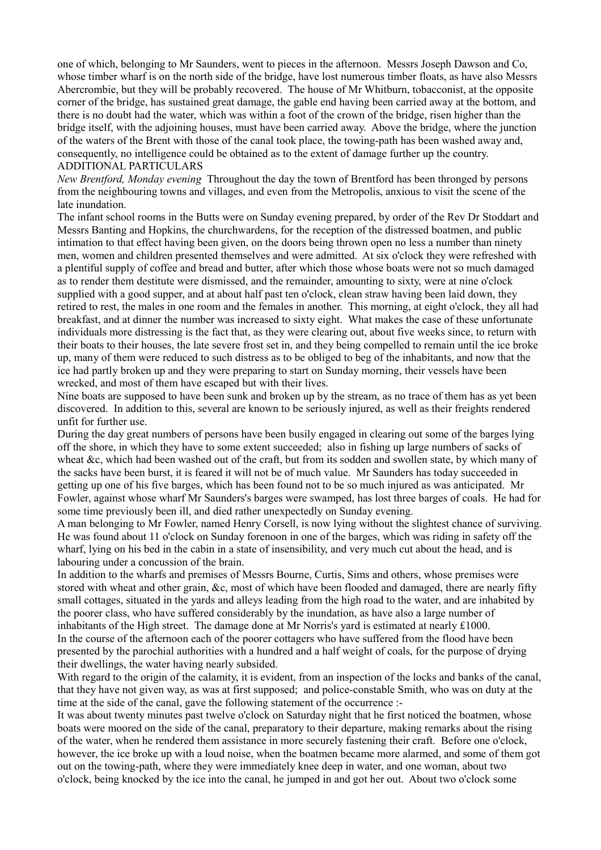one of which, belonging to Mr Saunders, went to pieces in the afternoon. Messrs Joseph Dawson and Co, whose timber wharf is on the north side of the bridge, have lost numerous timber floats, as have also Messrs Abercrombie, but they will be probably recovered. The house of Mr Whitburn, tobacconist, at the opposite corner of the bridge, has sustained great damage, the gable end having been carried away at the bottom, and there is no doubt had the water, which was within a foot of the crown of the bridge, risen higher than the bridge itself, with the adjoining houses, must have been carried away. Above the bridge, where the junction of the waters of the Brent with those of the canal took place, the towing-path has been washed away and, consequently, no intelligence could be obtained as to the extent of damage further up the country. ADDITIONAL PARTICULARS

*New Brentford, Monday evening* Throughout the day the town of Brentford has been thronged by persons from the neighbouring towns and villages, and even from the Metropolis, anxious to visit the scene of the late inundation.

The infant school rooms in the Butts were on Sunday evening prepared, by order of the Rev Dr Stoddart and Messrs Banting and Hopkins, the churchwardens, for the reception of the distressed boatmen, and public intimation to that effect having been given, on the doors being thrown open no less a number than ninety men, women and children presented themselves and were admitted. At six o'clock they were refreshed with a plentiful supply of coffee and bread and butter, after which those whose boats were not so much damaged as to render them destitute were dismissed, and the remainder, amounting to sixty, were at nine o'clock supplied with a good supper, and at about half past ten o'clock, clean straw having been laid down, they retired to rest, the males in one room and the females in another. This morning, at eight o'clock, they all had breakfast, and at dinner the number was increased to sixty eight. What makes the case of these unfortunate individuals more distressing is the fact that, as they were clearing out, about five weeks since, to return with their boats to their houses, the late severe frost set in, and they being compelled to remain until the ice broke up, many of them were reduced to such distress as to be obliged to beg of the inhabitants, and now that the ice had partly broken up and they were preparing to start on Sunday morning, their vessels have been wrecked, and most of them have escaped but with their lives.

Nine boats are supposed to have been sunk and broken up by the stream, as no trace of them has as yet been discovered. In addition to this, several are known to be seriously injured, as well as their freights rendered unfit for further use.

During the day great numbers of persons have been busily engaged in clearing out some of the barges lying off the shore, in which they have to some extent succeeded; also in fishing up large numbers of sacks of wheat &c, which had been washed out of the craft, but from its sodden and swollen state, by which many of the sacks have been burst, it is feared it will not be of much value. Mr Saunders has today succeeded in getting up one of his five barges, which has been found not to be so much injured as was anticipated. Mr Fowler, against whose wharf Mr Saunders's barges were swamped, has lost three barges of coals. He had for some time previously been ill, and died rather unexpectedly on Sunday evening.

A man belonging to Mr Fowler, named Henry Corsell, is now lying without the slightest chance of surviving. He was found about 11 o'clock on Sunday forenoon in one of the barges, which was riding in safety off the wharf, lying on his bed in the cabin in a state of insensibility, and very much cut about the head, and is labouring under a concussion of the brain.

In addition to the wharfs and premises of Messrs Bourne, Curtis, Sims and others, whose premises were stored with wheat and other grain, &c, most of which have been flooded and damaged, there are nearly fifty small cottages, situated in the yards and alleys leading from the high road to the water, and are inhabited by the poorer class, who have suffered considerably by the inundation, as have also a large number of inhabitants of the High street. The damage done at Mr Norris's yard is estimated at nearly £1000. In the course of the afternoon each of the poorer cottagers who have suffered from the flood have been presented by the parochial authorities with a hundred and a half weight of coals, for the purpose of drying their dwellings, the water having nearly subsided.

With regard to the origin of the calamity, it is evident, from an inspection of the locks and banks of the canal, that they have not given way, as was at first supposed; and police-constable Smith, who was on duty at the time at the side of the canal, gave the following statement of the occurrence :-

It was about twenty minutes past twelve o'clock on Saturday night that he first noticed the boatmen, whose boats were moored on the side of the canal, preparatory to their departure, making remarks about the rising of the water, when he rendered them assistance in more securely fastening their craft. Before one o'clock, however, the ice broke up with a loud noise, when the boatmen became more alarmed, and some of them got out on the towing-path, where they were immediately knee deep in water, and one woman, about two o'clock, being knocked by the ice into the canal, he jumped in and got her out. About two o'clock some